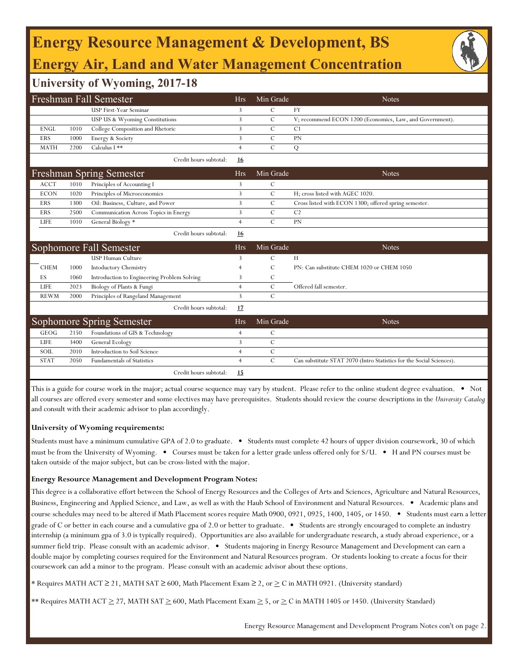## **Energy Resource Management & Development, BS Energy Air, Land and Water Management Concentration**

### **University of Wyoming, 2017-18**

|             |      | <b>Freshman Fall Semester</b>               | <b>Hrs</b>     | Min Grade     | <b>Notes</b>                                                         |
|-------------|------|---------------------------------------------|----------------|---------------|----------------------------------------------------------------------|
|             |      | USP First-Year Seminar                      | 3              | $\mathsf{C}$  | <b>FY</b>                                                            |
|             |      | USP US & Wyoming Constitutions              | 3              | $\mathcal{C}$ | V; recommend ECON 1200 (Economics, Law, and Government).             |
| <b>ENGL</b> | 1010 | College Composition and Rhetoric            | 3              | $\mathcal{C}$ | C <sub>1</sub>                                                       |
| <b>ERS</b>  | 1000 | Energy & Society                            | 3              | $\mathcal{C}$ | <b>PN</b>                                                            |
| <b>MATH</b> | 2200 | Calculus I **                               | $\overline{4}$ | $\mathcal{C}$ | Q                                                                    |
|             |      | Credit hours subtotal:                      | 16             |               |                                                                      |
|             |      | Freshman Spring Semester                    | <b>Hrs</b>     | Min Grade     | <b>Notes</b>                                                         |
| <b>ACCT</b> | 1010 | Principles of Accounting I                  | 3              | $\mathcal{C}$ |                                                                      |
| <b>ECON</b> | 1020 | Principles of Microeconomics                | 3              | $\mathcal{C}$ | H; cross listed with AGEC 1020.                                      |
| <b>ERS</b>  | 1300 | Oil: Business, Culture, and Power           | 3              | $\mathcal{C}$ | Cross listed with ECON 1300; offered spring semester.                |
| <b>ERS</b>  | 2500 | Communication Across Topics in Energy       | $\overline{3}$ | $\mathcal{C}$ | C <sub>2</sub>                                                       |
| LIFE        | 1010 | General Biology *                           | $\overline{4}$ | $\mathcal{C}$ | <b>PN</b>                                                            |
|             |      | Credit hours subtotal:                      | 16             |               |                                                                      |
|             |      | Sophomore Fall Semester                     | <b>Hrs</b>     | Min Grade     | <b>Notes</b>                                                         |
|             |      | <b>USP Human Culture</b>                    | 3              | $\mathcal{C}$ | H                                                                    |
| <b>CHEM</b> | 1000 | Intoductory Chemistry                       |                | $\mathcal{C}$ | PN: Can substitute CHEM 1020 or CHEM 1050                            |
| ES          | 1060 | Introduction to Engineering Problem Solving | 3              | $\mathcal{C}$ |                                                                      |
| <b>LIFE</b> | 2023 | Biology of Plants & Fungi                   | $\overline{4}$ | $\mathcal{C}$ | Offered fall semester.                                               |
| <b>REWM</b> | 2000 | Principles of Rangeland Management          | 3              | $\mathcal{C}$ |                                                                      |
|             |      | Credit hours subtotal:                      | 17             |               |                                                                      |
|             |      | <b>Sophomore Spring Semester</b>            | <b>Hrs</b>     | Min Grade     | <b>Notes</b>                                                         |
| <b>GEOG</b> | 2150 | Foundations of GIS & Technology             | $\overline{4}$ | $\mathcal{C}$ |                                                                      |
| <b>LIFE</b> | 3400 | General Ecology                             | 3              | $\mathcal{C}$ |                                                                      |
| <b>SOIL</b> | 2010 | Introduction to Soil Science                | $\overline{4}$ | $\mathcal{C}$ |                                                                      |
| <b>STAT</b> | 2050 | <b>Fundamentals of Statistics</b>           | $\overline{4}$ | $\mathcal{C}$ | Can substitute STAT 2070 (Intro Statistics for the Social Sciences). |
|             |      | Credit hours subtotal:                      | 15             |               |                                                                      |

This is a guide for course work in the major; actual course sequence may vary by student. Please refer to the online student degree evaluation. • Not all courses are offered every semester and some electives may have prerequisites. Students should review the course descriptions in the *University Catalog*  and consult with their academic advisor to plan accordingly.

#### **University of Wyoming requirements:**

Students must have a minimum cumulative GPA of 2.0 to graduate. • Students must complete 42 hours of upper division coursework, 30 of which must be from the University of Wyoming. • Courses must be taken for a letter grade unless offered only for S/U. • H and PN courses must be taken outside of the major subject, but can be cross-listed with the major.

### **Energy Resource Management and Development Program Notes:**

This degree is a collaborative effort between the School of Energy Resources and the Colleges of Arts and Sciences, Agriculture and Natural Resources, Business, Engineering and Applied Science, and Law, as well as with the Haub School of Environment and Natural Resources. • Academic plans and course schedules may need to be altered if Math Placement scores require Math 0900, 0921, 0925, 1400, 1405, or 1450. • Students must earn a letter grade of C or better in each course and a cumulative gpa of 2.0 or better to graduate. • Students are strongly encouraged to complete an industry internship (a minimum gpa of 3.0 is typically required). Opportunities are also available for undergraduate research, a study abroad experience, or a summer field trip. Please consult with an academic advisor. • Students majoring in Energy Resource Management and Development can earn a double major by completing courses required for the Environment and Natural Resources program. Or students looking to create a focus for their coursework can add a minor to the program. Please consult with an academic advisor about these options.

\* Requires MATH ACT ≥ 21, MATH SAT ≥ 600, Math Placement Exam ≥ 2, or  $\geq C$  in MATH 0921. (University standard)

 $**$  Requires MATH ACT  $\geq$  27, MATH SAT  $\geq$  600, Math Placement Exam  $\geq$  5, or  $\geq$  C in MATH 1405 or 1450. (University Standard)

Energy Resource Management and Development Program Notes con't on page 2.